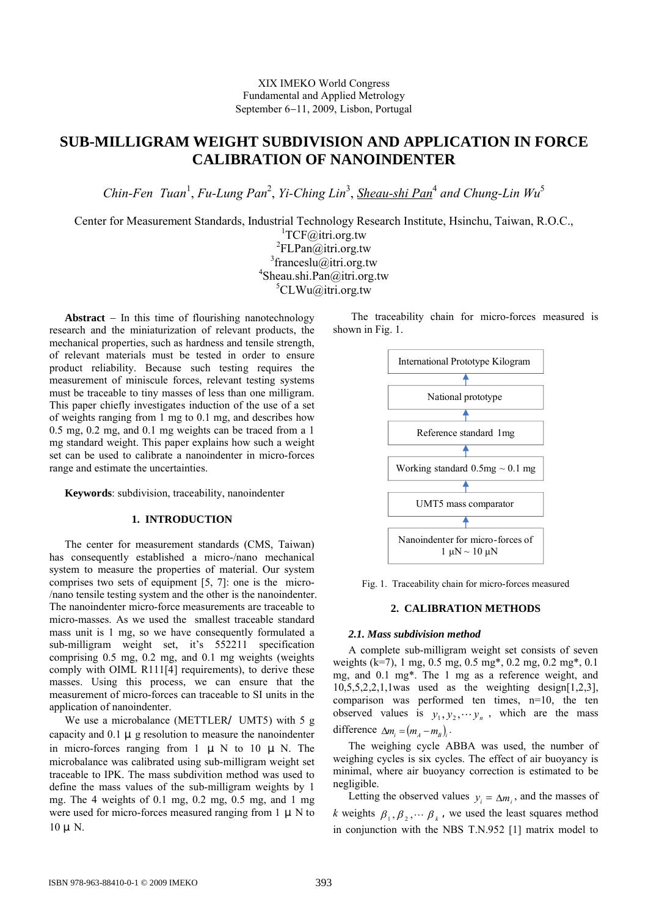# **SUB-MILLIGRAM WEIGHT SUBDIVISION AND APPLICATION IN FORCE CALIBRATION OF NANOINDENTER**

Chin-Fen Tuan<sup>1</sup>, Fu-Lung Pan<sup>2</sup>, Yi-Ching Lin<sup>3</sup>, <u>Sheau-shi Pan</u><sup>4</sup> and Chung-Lin Wu<sup>5</sup>

Center for Measurement Standards, Industrial Technology Research Institute, Hsinchu, Taiwan, R.O.C.,

<sup>1</sup>TCF@itri.org.tw <sup>2</sup>FLPan@itri.org.tw 3 franceslu@itri.org.tw 4 Sheau.shi.Pan@itri.org.tw 5 CLWu@itri.org.tw

**Abstract**  $-$  In this time of flourishing nanotechnology research and the miniaturization of relevant products, the mechanical properties, such as hardness and tensile strength, of relevant materials must be tested in order to ensure product reliability. Because such testing requires the measurement of miniscule forces, relevant testing systems must be traceable to tiny masses of less than one milligram. This paper chiefly investigates induction of the use of a set of weights ranging from 1 mg to 0.1 mg, and describes how 0.5 mg, 0.2 mg, and 0.1 mg weights can be traced from a 1 mg standard weight. This paper explains how such a weight set can be used to calibrate a nanoindenter in micro-forces range and estimate the uncertainties.

**Keywords**: subdivision, traceability, nanoindenter

## **1. INTRODUCTION**

The center for measurement standards (CMS, Taiwan) has consequently established a micro-/nano mechanical system to measure the properties of material. Our system comprises two sets of equipment [5, 7]: one is the micro- /nano tensile testing system and the other is the nanoindenter. The nanoindenter micro-force measurements are traceable to micro-masses. As we used the smallest traceable standard mass unit is 1 mg, so we have consequently formulated a sub-milligram weight set, it's 552211 specification comprising 0.5 mg, 0.2 mg, and 0.1 mg weights (weights comply with OIML R111[4] requirements), to derive these masses. Using this process, we can ensure that the measurement of micro-forces can traceable to SI units in the application of nanoindenter.

We use a microbalance (METTLER UMT5) with 5 g capacity and  $0.1 \mu$  g resolution to measure the nanoindenter in micro-forces ranging from  $1 \mu N$  to  $10 \mu N$ . The microbalance was calibrated using sub-milligram weight set traceable to IPK. The mass subdivition method was used to define the mass values of the sub-milligram weights by 1 mg. The 4 weights of 0.1 mg, 0.2 mg, 0.5 mg, and 1 mg were used for micro-forces measured ranging from  $1 \mu N$  to  $10 \mu$  N.



Fig. 1. Traceability chain for micro-forces measured

## **2. CALIBRATION METHODS**

## *2.1. Mass subdivision method*

A complete sub-milligram weight set consists of seven weights (k=7), 1 mg, 0.5 mg, 0.5 mg\*, 0.2 mg, 0.2 mg\*, 0.1 mg, and 0.1 mg\*. The 1 mg as a reference weight, and  $10,5,5,2,2,1,1$  was used as the weighting design $[1,2,3]$ , comparison was performed ten times, n=10, the ten observed values is  $y_1, y_2, \dots y_n$ , which are the mass difference  $\Delta m_i = (m_A - m_B)$ .

The weighing cycle ABBA was used, the number of weighing cycles is six cycles. The effect of air buoyancy is minimal, where air buoyancy correction is estimated to be negligible.

Letting the observed values  $y_i = \Delta m_i$ , and the masses of *k* weights  $\beta_1, \beta_2, \cdots, \beta_k$ , we used the least squares method in conjunction with the NBS T.N.952 [1] matrix model to

The traceability chain for micro-forces measured is shown in Fig. 1.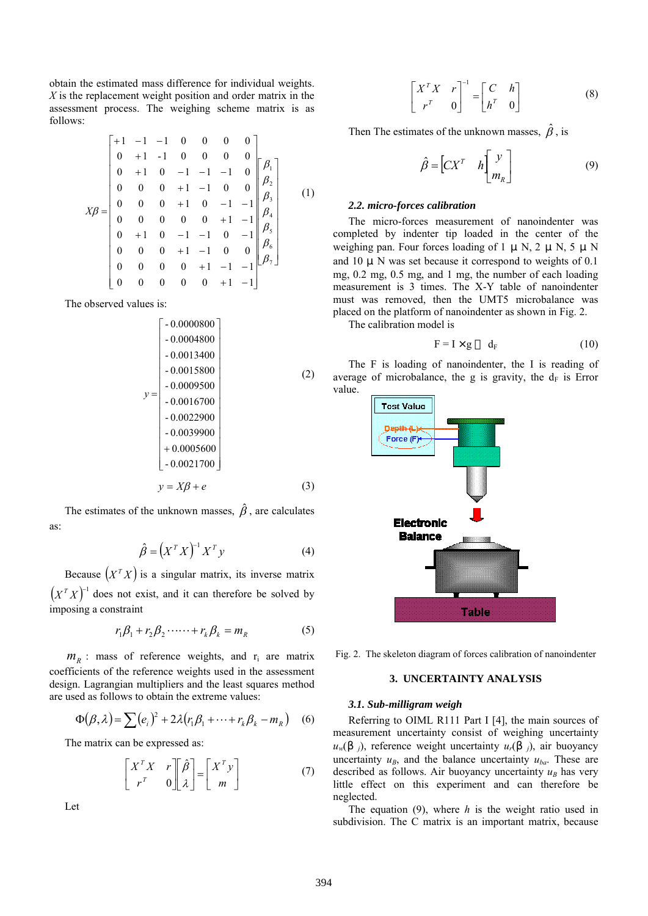obtain the estimated mass difference for individual weights. *X* is the replacement weight position and order matrix in the assessment process. The weighing scheme matrix is as follows:

 7 6 5 4 3 2 1 0 0 0 0 0 1 1 0 0 0 0 1 1 1 0 0 0 1 1 0 0 0 1 0 1 1 0 1 0 0 0 0 0 1 1 0 0 0 1 0 1 1 0 0 0 1 1 0 0 0 1 0 1 1 1 0 0 1 1- 0 0 0 0 1 1 1 0 0 0 0 *X* (1)

The observed values is:

$$
y = \begin{bmatrix}\n-0.0000800 \\
-0.0004800 \\
-0.0013400 \\
-0.0015800 \\
-0.0009500 \\
-0.0016700 \\
-0.0022900 \\
+0.00039900 \\
+0.00021700\n\end{bmatrix}
$$
\n(2)  
\n(3)

The estimates of the unknown masses,  $\hat{\beta}$ , are calculates as:

$$
\hat{\beta} = \left(X^T X\right)^{-1} X^T y \tag{4}
$$

Because  $(X^T X)$  is a singular matrix, its inverse matrix  $(X^T X)^{-1}$  does not exist, and it can therefore be solved by imposing a constraint

$$
r_1 \beta_1 + r_2 \beta_2 \cdots + r_k \beta_k = m_R \tag{5}
$$

 $m_R$  : mass of reference weights, and  $r_i$  are matrix coefficients of the reference weights used in the assessment design. Lagrangian multipliers and the least squares method are used as follows to obtain the extreme values:

$$
\Phi(\beta,\lambda) = \sum_{i} (e_i)^2 + 2\lambda (r_1 \beta_1 + \dots + r_k \beta_k - m_R) \quad (6)
$$

The matrix can be expressed as:

$$
\begin{bmatrix} X^T X & r \\ r^T & 0 \end{bmatrix} \begin{bmatrix} \hat{\beta} \\ \lambda \end{bmatrix} = \begin{bmatrix} X^T y \\ m \end{bmatrix}
$$
 (7)

Let

$$
\begin{bmatrix} X^T X & r \\ r^T & 0 \end{bmatrix}^{-1} = \begin{bmatrix} C & h \\ h^T & 0 \end{bmatrix}
$$
 (8)

Then The estimates of the unknown masses,  $\hat{\beta}$ , is

$$
\hat{\beta} = \begin{bmatrix} C X^T & h \end{bmatrix} \begin{bmatrix} y \\ m_R \end{bmatrix}
$$
 (9)

### *2.2. micro-forces calibration*

The micro-forces measurement of nanoindenter was completed by indenter tip loaded in the center of the weighing pan. Four forces loading of 1  $\mu$  N, 2  $\mu$  N, 5  $\mu$  N and 10  $\mu$  N was set because it correspond to weights of 0.1 mg, 0.2 mg, 0.5 mg, and 1 mg, the number of each loading measurement is 3 times. The X-Y table of nanoindenter must was removed, then the UMT5 microbalance was placed on the platform of nanoindenter as shown in Fig. 2.

The calibration model is

$$
F = I \times g \t d_F \t (10)
$$

The F is loading of nanoindenter, the I is reading of average of microbalance, the g is gravity, the  $d_F$  is Error value.



Fig. 2. The skeleton diagram of forces calibration of nanoindenter

## **3. UNCERTAINTY ANALYSIS**

#### *3.1. Sub-milligram weigh*

Referring to OIML R111 Part I [4], the main sources of measurement uncertainty consist of weighing uncertainty  $u_w$ ( *i*), reference weight uncertainty  $u_r$ ( *j*), air buoyancy uncertainty  $u_B$ , and the balance uncertainty  $u_{ba}$ . These are described as follows. Air buoyancy uncertainty  $u_B$  has very little effect on this experiment and can therefore be neglected.

The equation (9), where *h* is the weight ratio used in subdivision. The C matrix is an important matrix, because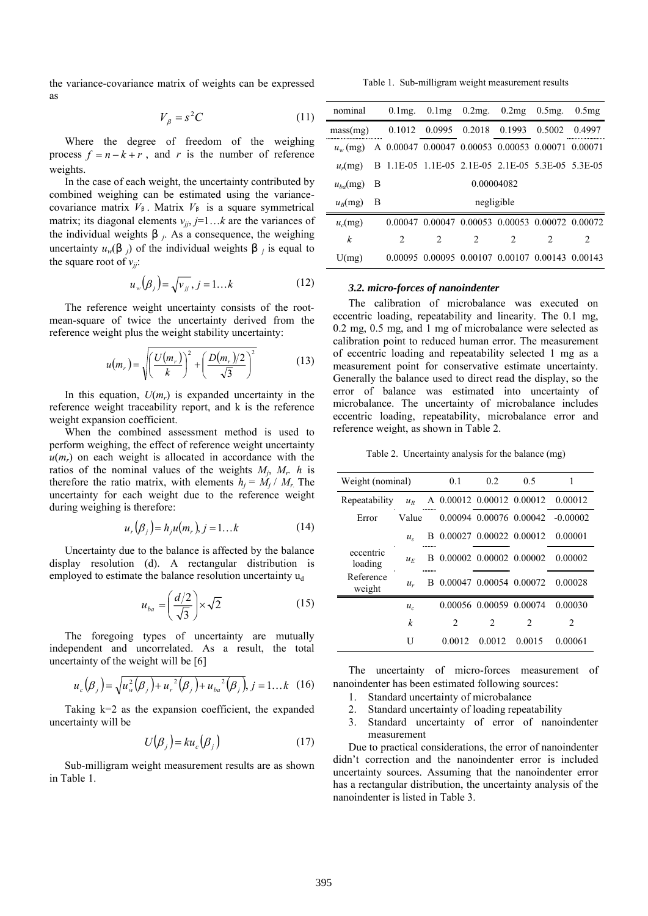the variance-covariance matrix of weights can be expressed as

Table 1. Sub-milligram weight measurement results

$$
V_{\beta} = s^2 C \tag{11}
$$

Where the degree of freedom of the weighing process  $f = n - k + r$ , and *r* is the number of reference weights.

In the case of each weight, the uncertainty contributed by combined weighing can be estimated using the variancecovariance matrix *V* . Matrix *V* is a square symmetrical matrix; its diagonal elements  $v_{ij}$ ,  $j=1...k$  are the variances of the individual weights  $\vec{p}$ . As a consequence, the weighing uncertainty  $u_w$ (*j*) of the individual weights *j* is equal to the square root of  $v_{ji}$ :

$$
u_w(\beta_j) = \sqrt{v_{jj}}, j = 1...k
$$
 (12)

The reference weight uncertainty consists of the rootmean-square of twice the uncertainty derived from the reference weight plus the weight stability uncertainty:

$$
u(m_r) = \sqrt{\left(\frac{U(m_r)}{k}\right)^2 + \left(\frac{D(m_r)/2}{\sqrt{3}}\right)^2}
$$
 (13)

In this equation,  $U(m_r)$  is expanded uncertainty in the reference weight traceability report, and k is the reference weight expansion coefficient.

When the combined assessment method is used to perform weighing, the effect of reference weight uncertainty  $u(m_r)$  on each weight is allocated in accordance with the ratios of the nominal values of the weights *Mj*, *Mr. h* is therefore the ratio matrix, with elements  $h_i = M_i / M_r$ . The uncertainty for each weight due to the reference weight during weighing is therefore:

$$
u_r(\beta_j) = h_j u(m_r), j = 1...k
$$
 (14)

Uncertainty due to the balance is affected by the balance display resolution (d). A rectangular distribution is employed to estimate the balance resolution uncertainty u<sub>d</sub>

$$
u_{ba} = \left(\frac{d/2}{\sqrt{3}}\right) \times \sqrt{2} \tag{15}
$$

The foregoing types of uncertainty are mutually independent and uncorrelated. As a result, the total uncertainty of the weight will be [6]

$$
u_c(\beta_j) = \sqrt{u_w^2(\beta_j) + u_r^2(\beta_j) + u_{ba}^2(\beta_j)}, j = 1...k
$$
 (16)

Taking  $k=2$  as the expansion coefficient, the expanded uncertainty will be

$$
U(\beta_j) = ku_c(\beta_j) \tag{17}
$$

Sub-milligram weight measurement results are as shown in Table 1.

| nominal          |   |            | 0.1 mg. $0.1\,\text{mg}$ 0.2 mg. $0.2\,\text{mg}$ 0.5 mg. $0.5\,\text{mg}$ |   |               |                               |        |  |  |
|------------------|---|------------|----------------------------------------------------------------------------|---|---------------|-------------------------------|--------|--|--|
| mass(mg)         |   | 0.1012     | 0.0995 0.2018 0.1993 0.5002                                                |   |               |                               | 0.4997 |  |  |
| $u_w$ (mg)       |   |            | A 0.00047 0.00047 0.00053 0.00053 0.00071 0.00071                          |   |               |                               |        |  |  |
| $u_r$ (mg)       |   |            | B 1.1E-05 1.1E-05 2.1E-05 2.1E-05 5.3E-05 5.3E-05                          |   |               |                               |        |  |  |
| $u_{ba}$ (mg)    | B | 0.00004082 |                                                                            |   |               |                               |        |  |  |
| $u_B$ (mg)       | В |            | negligible                                                                 |   |               |                               |        |  |  |
| $u_c$ (mg)       |   |            | 0.00047 0.00047 0.00053 0.00053 0.00072 0.00072                            |   |               |                               |        |  |  |
| $\boldsymbol{k}$ |   | 2          | $\mathfrak{D}_{1}^{(1)}$                                                   | 2 | $\mathcal{L}$ | $\mathfrak{D}_{\mathfrak{p}}$ | 2      |  |  |
| U(mg)            |   |            | 0.00095 0.00095 0.00107 0.00107 0.00143 0.00143                            |   |               |                               |        |  |  |
|                  |   |            |                                                                            |   |               |                               |        |  |  |

## *3.2. micro-forces of nanoindenter*

The calibration of microbalance was executed on eccentric loading, repeatability and linearity. The 0.1 mg, 0.2 mg, 0.5 mg, and 1 mg of microbalance were selected as calibration point to reduced human error. The measurement of eccentric loading and repeatability selected 1 mg as a measurement point for conservative estimate uncertainty. Generally the balance used to direct read the display, so the error of balance was estimated into uncertainty of microbalance. The uncertainty of microbalance includes eccentric loading, repeatability, microbalance error and reference weight, as shown in Table 2.

Table 2. Uncertainty analysis for the balance (mg)

| Weight (nominal)     | 0.1              | 0.2                           | 0.5                       | 1                                 |                                   |
|----------------------|------------------|-------------------------------|---------------------------|-----------------------------------|-----------------------------------|
| Repeatability        | $u_R$            |                               |                           |                                   | A 0.00012 0.00012 0.00012 0.00012 |
| Error                | Value            |                               |                           |                                   | 0.00094 0.00076 0.00042 -0.00002  |
|                      | $u_{\rm c}$      |                               |                           | B 0.00027 0.00022 0.00012 0.00001 |                                   |
| eccentric<br>loading | $\mathcal{U}^F$  |                               |                           |                                   | B 0.00002 0.00002 0.00002 0.00002 |
| Reference<br>weight  | $u_{\nu}$        |                               | B 0.00047 0.00054 0.00072 |                                   | 0.00028                           |
|                      | $u_{c}$          |                               | 0.00056 0.00059 0.00074   |                                   | 0.00030                           |
|                      | $\boldsymbol{k}$ | $\mathfrak{D}_{\mathfrak{p}}$ |                           | 2                                 |                                   |
|                      | U                |                               | 0.0012 0.0012 0.0015      |                                   | 0.00061                           |

The uncertainty of micro-forces measurement of nanoindenter has been estimated following sources:

- 1. Standard uncertainty of microbalance
- 2. Standard uncertainty of loading repeatability
- 3. Standard uncertainty of error of nanoindenter measurement

Due to practical considerations, the error of nanoindenter didn't correction and the nanoindenter error is included uncertainty sources. Assuming that the nanoindenter error has a rectangular distribution, the uncertainty analysis of the nanoindenter is listed in Table 3.